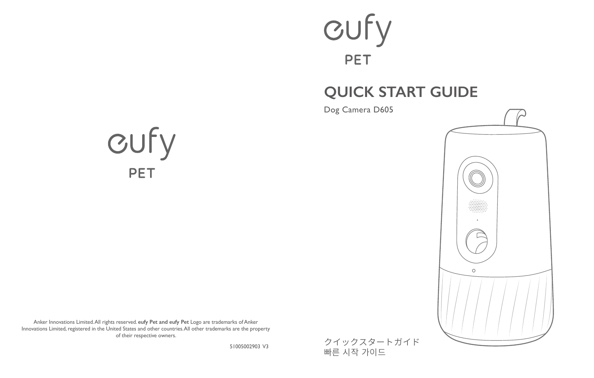### cufy **PET**

### **QUICK START GUIDE**

Dog Camera D605





Anker Innovations Limited. All rights reserved. **eufy Pet and eufy Pet** Logo are trademarks of Anker Innovations Limited, registered in the United States and other countries. All other trademarks are the property of their respective owners.

51005002903 V3

クイックスタートガイド 빠른 시작 가이드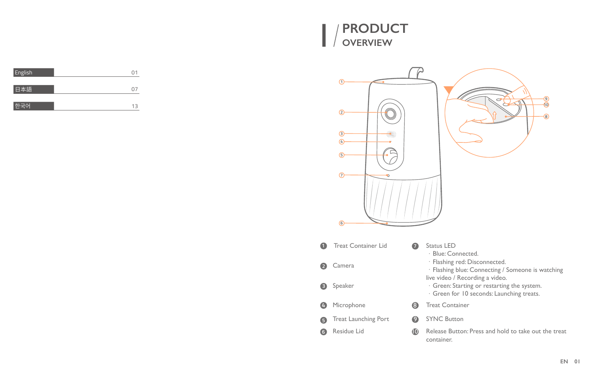



|              | Œ<br>$\Omega$<br>⊙<br>$\left( 4\right)$<br>G<br>σ.<br>6 | ◉<br>$\bar{\bm{\theta}}$<br>◉                                                                                         |
|--------------|---------------------------------------------------------|-----------------------------------------------------------------------------------------------------------------------|
| A            | <b>Treat Container Lid</b><br>6)                        | Status LED<br>· Blue: Connected.                                                                                      |
| $\mathbf{z}$ | Camera                                                  | · Flashing red: Disconnected.<br>· Flashing blue: Connecting / Someone is watching<br>live video / Recording a video. |
| €            | Speaker                                                 | · Green: Starting or restarting the system.<br>· Green for 10 seconds: Launching treats.                              |
| Ø            | Microphone<br>❸.                                        | <b>Treat Container</b>                                                                                                |
| G            | Treat Launching Port<br>☉                               | <b>SYNC Button</b>                                                                                                    |
| 6            | Residue Lid<br>$\circ$                                  | Release Button: Press and hold to take out the treat<br>container.                                                    |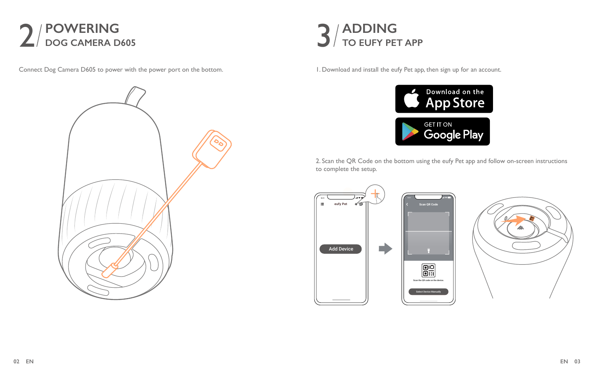

Connect Dog Camera D605 to power with the power port on the bottom.





1. Download and install the eufy Pet app, then sign up for an account.



2. Scan the QR Code on the bottom using the eufy Pet app and follow on-screen instructions to complete the setup.

**Scan QR Code**

Select Device Manually

**BR** 



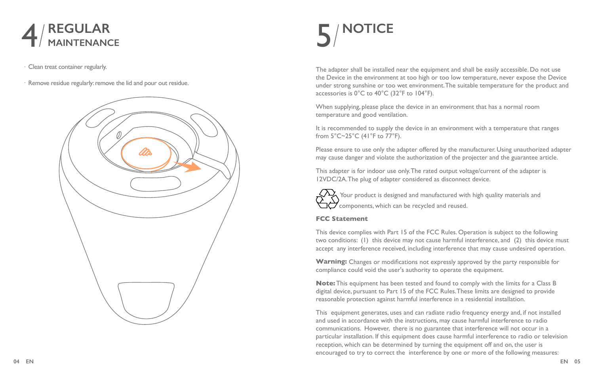

·Clean treat container regularly.

·Remove residue regularly: remove the lid and pour out residue.



## **NOTICE**

The adapter shall be installed near the equipment and shall be easily accessible. Do not use the Device in the environment at too high or too low temperature, never expose the Device under strong sunshine or too wet environment. The suitable temperature for the product and accessories is 0°C to 40°C (32°F to 104°F).

When supplying, please place the device in an environment that has a normal room temperature and good ventilation.

It is recommended to supply the device in an environment with a temperature that ranges from 5°C~25°C (41°F to 77°F).

Please ensure to use only the adapter offered by the manufacturer. Using unauthorized adapter may cause danger and violate the authorization of the projecter and the guarantee article.

This adapter is for indoor use only. The rated output voltage/current of the adapter is 12VDC/2A. The plug of adapter considered as disconnect device.



 Your product is designed and manufactured with high quality materials and components, which can be recycled and reused.

#### **FCC Statement**

This device complies with Part 15 of the FCC Rules. Operation is subject to the following two conditions: (1) this device may not cause harmful interference, and (2) this device must accept any interference received, including interference that may cause undesired operation.

**Warning:** Changes or modifications not expressly approved by the party responsible for compliance could void the user's authority to operate the equipment.

**Note:** This equipment has been tested and found to comply with the limits for a Class B digital device, pursuant to Part 15 of the FCC Rules. These limits are designed to provide reasonable protection against harmful interference in a residential installation.

This equipment generates, uses and can radiate radio frequency energy and, if not installed and used in accordance with the instructions, may cause harmful interference to radio communications. However, there is no guarantee that interference will not occur in a particular installation. If this equipment does cause harmful interference to radio or television reception, which can be determined by turning the equipment off and on, the user is encouraged to try to correct the interference by one or more of the following measures: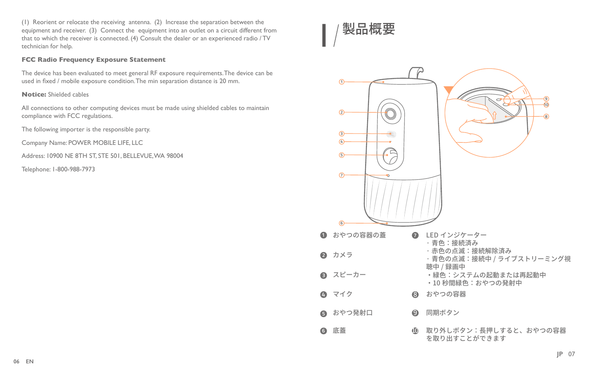(1) Reorient or relocate the receiving antenna. (2) Increase the separation between the equipment and receiver. (3) Connect the equipment into an outlet on a circuit different from that to which the receiver is connected. (4) Consult the dealer or an experienced radio / TV technician for help.

#### **FCC Radio Frequency Exposure Statement**

The device has been evaluated to meet general RF exposure requirements. The device can be used in fixed / mobile exposure condition. The min separation distance is 20 mm.

#### **Notice:** Shielded cables

All connections to other computing devices must be made using shielded cables to maintain compliance with FCC regulations.

The following importer is the responsible party.

Company Name: POWER MOBILE LIFE, LLC

Address: 10900 NE 8TH ST, STE 501, BELLEVUE, WA 98004

Telephone: 1-800-988-7973



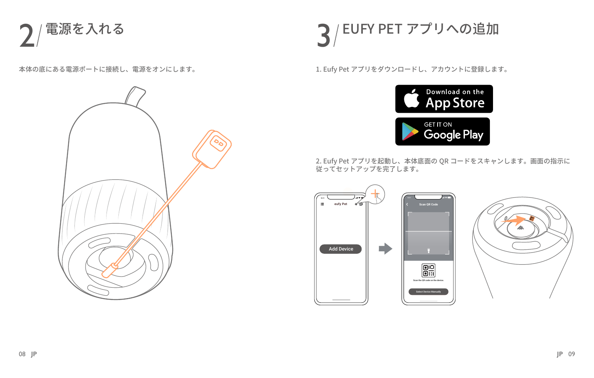

本体の底にある電源ポートに接続し、電源をオンにします。



# $\textbf{Q}$  / EUFY PET アプリへの追加

1. Eufy Pet アプリをダウンロードし、アカウントに登録します。



2. Eufy Pet アプリを起動し、本体底面の QR コードをスキャンします。画面の指示に 従ってセットアップを完了します。

**Scan QR Code**

 $\boxed{25}$ 



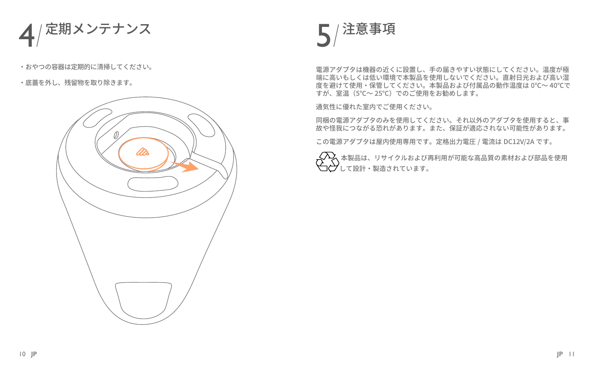

- ・おやつの容器は定期的に清掃してください。
- ・底蓋を外し、残留物を取り除きます。





電源アダプタは機器の近くに設置し、手の届きやすい状態にしてください。温度が極 端に高いもしくは低い環境で本製品を使用しないでください。直射日光および高い湿 度を避けて使用・保管してください。本製品および付属品の動作温度は 0℃〜 40℃で すが、室温(5℃〜 25℃)でのご使用をお勧めします。

通気性に優れた室内でご使用ください。

同梱の電源アダプタのみを使用してください。それ以外のアダプタを使用すると、事 故や怪我につながる恐れがあります。また、保証が適応されない可能性があります。

この電源アダプタは屋内使用専用です。定格出力電圧 / 電流は DC12V/2A です。

 $\left\langle \!\!{\,}^{\mathop{}\limits_{}}_{\mathop{}\limits^{}}\right. \!\!\!\! \right. \hspace{5cm} \left. \!\!{\,}^{\mathop{}\limits_{}}_{\mathop{}\limits^{}}\right\rangle$  本製品は、リサイクルおよび再利用が可能な高品質の素材および部品を使用  $\bigoplus$  $\bigoplus$  して設計・製造されています。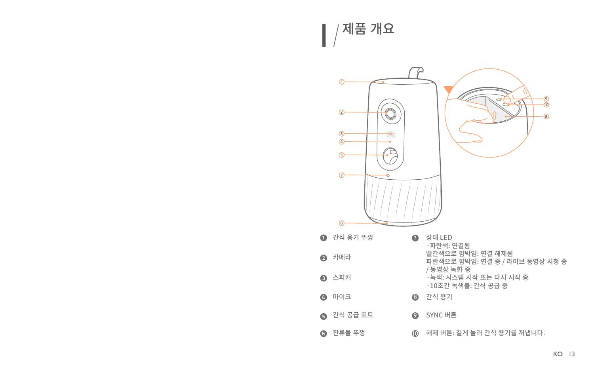■ / 제품 개요

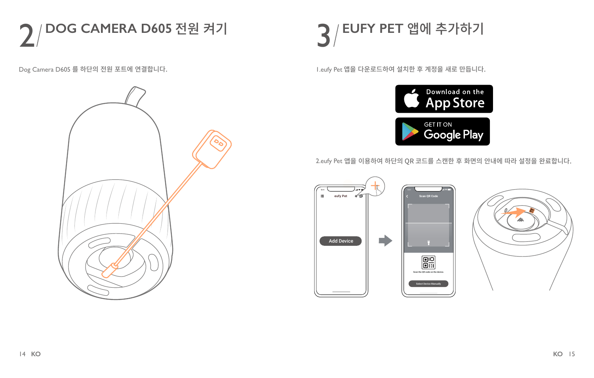

Dog Camera D605 를 하단의 전원 포트에 연결합니다.





1.eufy Pet 앱을 다운로드하여 설치한 후 계정을 새로 만듭니다.



2.eufy Pet 앱을 이용하여 하단의 QR 코드를 스캔한 후 화면의 안내에 따라 설정을 완료합니다.

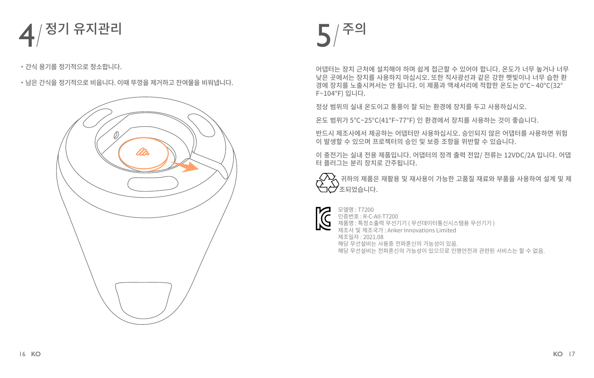

・간식 용기를 정기적으로 청소합니다.

・남은 간식을 정기적으로 비웁니다. 이때 뚜껑을 제거하고 잔여물을 비워냅니다.





어댑터는 장치 근처에 설치해야 하며 쉽게 접근할 수 있어야 합니다. 온도가 너무 높거나 너무 낮은 곳에서는 장치를 사용하지 마십시오. 또한 직사광선과 같은 강한 햇빛이나 너무 습한 환 경에 장치를 노출시켜서는 안 됩니다. 이 제품과 액세서리에 적합한 온도는 0°C~ 40°C(32° F~104°F) 입니다.

정상 범위의 실내 온도이고 통풍이 잘 되는 환경에 장치를 두고 사용하십시오.

온도 범위가 5°C~25°C(41°F~77°F) 인 환경에서 장치를 사용하는 것이 좋습니다.

반드시 제조사에서 제공하는 어댑터만 사용하십시오. 승인되지 않은 어댑터를 사용하면 위험 이 발생할 수 있으며 프로젝터의 승인 및 보증 조항을 위반할 수 있습니다.

이 충전기는 실내 전용 제품입니다. 어댑터의 정격 출력 전압/ 전류는 12VDC/2A 입니다. 어댑 터 플러그는 분리 장치로 간주됩니다.

 $\zeta\!\!\!\!\!\!\lambda\!\!\!\!\lambda$  귀하의 제품은 재활용 및 재사용이 가능한 고품질 재료와 부품을 사용하여 설계 및 제  $\triangle$   $\gamma$  $_{\text{x}$ 되었습니다.



모델명 : T7200 인증번호 : R-C-AIl-T7200 제품명 : 특정소출력 무선기기 ( 무선데이터통신시스템용 무선기기 ) 제조사 및 제조국가 : Anker Innovations Limited 제조일자 : 2021.08 해당 무선설비는 사용중 전파혼신의 가능성이 있음. 해당 무선설비는 전파혼신의 가능성이 있으므로 인명안전과 관련된 서비스는 할 수 없음.